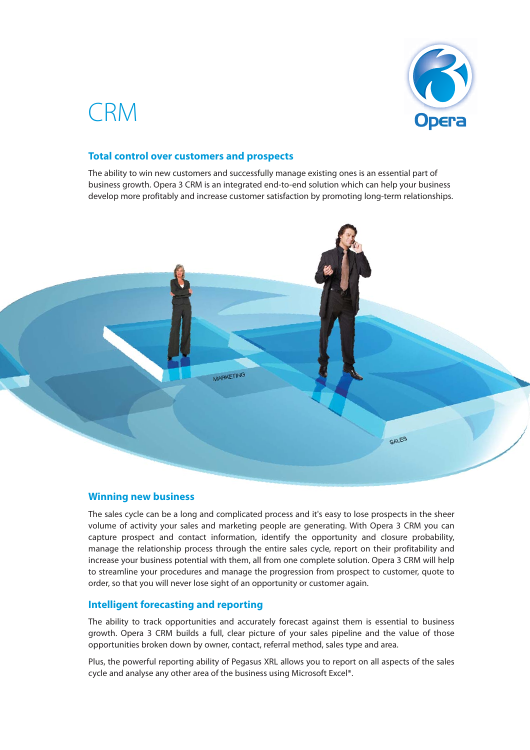

# CRM

## **Total control over customers and prospects**

The ability to win new customers and successfully manage existing ones is an essential part of business growth. Opera 3 CRM is an integrated end-to-end solution which can help your business develop more profitably and increase customer satisfaction by promoting long-term relationships.



#### **Winning new business**

The sales cycle can be a long and complicated process and it's easy to lose prospects in the sheer volume of activity your sales and marketing people are generating. With Opera 3 CRM you can capture prospect and contact information, identify the opportunity and closure probability, manage the relationship process through the entire sales cycle, report on their profitability and increase your business potential with them, all from one complete solution. Opera 3 CRM will help to streamline your procedures and manage the progression from prospect to customer, quote to order, so that you will never lose sight of an opportunity or customer again.

#### **Intelligent forecasting and reporting**

The ability to track opportunities and accurately forecast against them is essential to business growth. Opera 3 CRM builds a full, clear picture of your sales pipeline and the value of those opportunities broken down by owner, contact, referral method, sales type and area.

Plus, the powerful reporting ability of Pegasus XRL allows you to report on all aspects of the sales cycle and analyse any other area of the business using Microsoft Excel®.